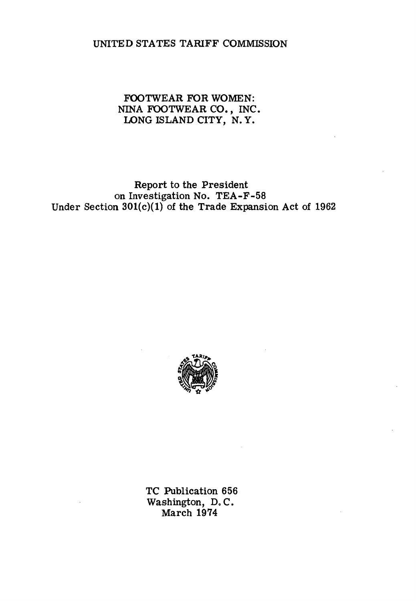# UNITED STATES TARIFF COMMISSION

## FOOTWEAR FOR WOMEN: NINA FOOTWEAR CO. , INC. LONG ISLAND CITY, N.Y.

# Report to the President on Investigation No. TEA-F-58 Under Section  $301(c)(1)$  of the Trade Expansion Act of 1962



TC Publication 656 Washington, D. C. March 1974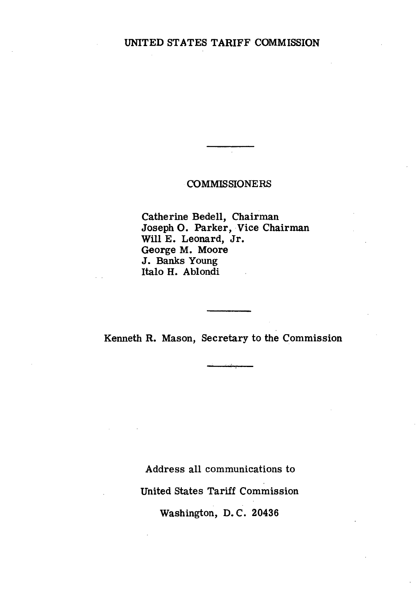## COMMISSIONERS

Catherine Bedell, Chairman Joseph 0. Parker, Vice Chairman Will E. Leonard, Jr. George M. Moore J. Banks Young Italo H. Ablondi

Kenneth R. Mason, Secretary to the Commission

Address all communications to United States Tariff Commission Washington, D. C. 20436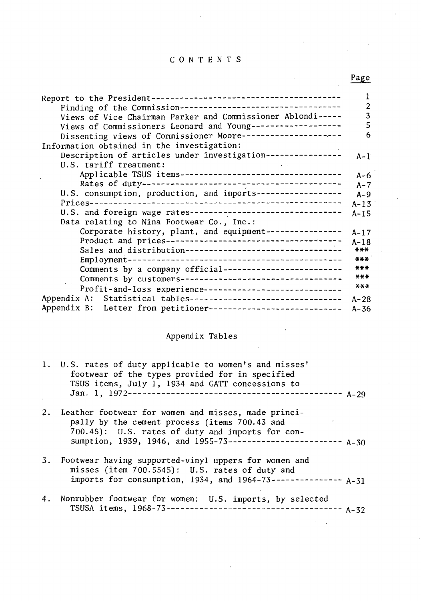## C 0 N T E N T S

# Page

|                                                                | 2        |
|----------------------------------------------------------------|----------|
| Views of Vice Chairman Parker and Commissioner Ablondi-----    | 3        |
| Views of Commissioners Leonard and Young-------------------    | 5        |
| Dissenting views of Commissioner Moore--------------------     | 6        |
| Information obtained in the investigation:                     |          |
| Description of articles under investigation----------------    | $A-1$    |
| U.S. tariff treatment:                                         |          |
| Applicable TSUS items-----------------------------------       | $A-6$    |
|                                                                | $A - 7$  |
| U.S. consumption, production, and imports------------------    | $A - 9$  |
| ---------------------------------<br>$Prices---$               | $A - 13$ |
| U.S. and foreign wage rates---------------------------------   | $A - 15$ |
| Data relating to Nina Footwear Co., Inc.:                      |          |
| Corporate history, plant, and equipment----------------        | $A - 17$ |
|                                                                | $A - 18$ |
| Sales and distribution----------------------------------       | ***      |
|                                                                | ***      |
| Comments by a company official-------------------------        | ***      |
| Comments by customers----------------------------------        | ***      |
| Profit-and-loss experience-----------------------------        | ***      |
| Appendix A: Statistical tables-------------------------------- | $A - 28$ |
| Appendix B: Letter from petitioner---------------------------- | $A - 36$ |

# Appendix Tables

|    | 1. U.S. rates of duty applicable to women's and misses'<br>footwear of the types provided for in specified<br>TSUS items, July 1, 1934 and GATT concessions to                                                             |  |
|----|----------------------------------------------------------------------------------------------------------------------------------------------------------------------------------------------------------------------------|--|
| 2. | Leather footwear for women and misses, made princi-<br>pally by the cement process (items 700.43 and<br>700.45): U.S. rates of duty and imports for con-<br>sumption, 1939, 1946, and 1955-73------------------------ A-30 |  |
| 3. | Footwear having supported-vinyl uppers for women and<br>misses (item 700.5545): U.S. rates of duty and<br>imports for consumption, 1934, and 1964-73--------------- A-31                                                   |  |
|    | 4. Nonrubber footwear for women: U.S. imports, by selected                                                                                                                                                                 |  |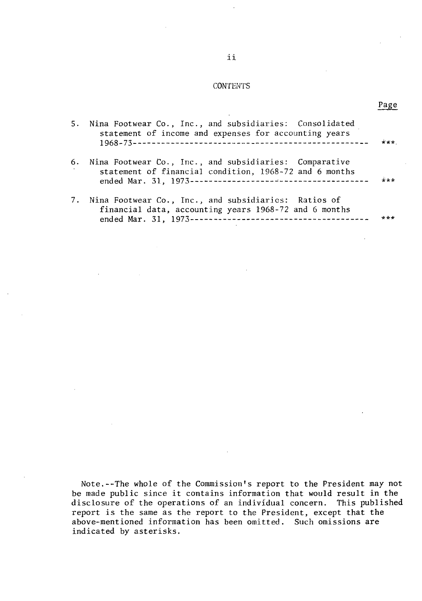## **CONTENTS**

| 5. Nina Footwear Co., Inc., and subsidiaries: Consolidated<br>statement of income and expenses for accounting years | $***$   |
|---------------------------------------------------------------------------------------------------------------------|---------|
| 6. Nina Footwear Co., Inc., and subsidiaries: Comparative<br>statement of financial condition, 1968-72 and 6 months | بديدنية |
| 7. Nina Footwear Co., Inc., and subsidiaries: Ratios of<br>financial data, accounting years 1968-72 and 6 months    | ***     |

Note.--The whole of the Commission's report to the President may not be made public since it contains information that would result in the disclosure of the operations of an individual concern. This published report is the same as the report to the President, except that the above-mentioned information has been omitted. Such omissions are indicated by asterisks.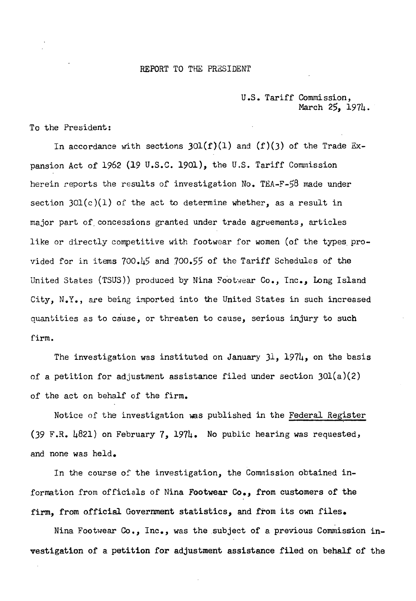#### REPORT TO THE PRESIDENT

U.S. Tariff Commission, March 25. 1974.

To the President:

In accordance with sections  $301(f)(1)$  and  $(f)(3)$  of the Trade Expansion Act of 1962 (19 U.S.C. 1901), the U.S. Tariff Commission herein reports the results of investigation No. TEA-F-58 made under section  $301(c)(1)$  of the act to determine whether, as a result in major part of. concessions granted under trade agreements, articles like or directly competitive with footwear for women (of the types provided for in items 700.45 and 700.55 of the Tariff Schedules of the United States (TSUS)) produced by Nina Footwear Co., Inc., Long Island City, N.Y., are being imported into the United States in such increased quantities as to cause, or threaten to cause, serious injury to such firm.

The investigation was instituted on January  $31$ ,  $1974$ , on the basis of a petition for adjustment assistance filed under section  $301(a)(2)$ of the act on behalf of the firm.

Notice of the investigation was published in the Federal Register (39 F.R. 4821) on February 7, 1974. No public hearing was requested, and none was held.

In the course of the investigation, the Commission obtained information from officials of Nina Footwear *Co.,* from customers of the firm, from official Government statistics, and from its own files.

Nina Footwear *Co.,* Inc., was the subject of a previous Commission investigation of a petition for adjustment assistance filed on behalf of the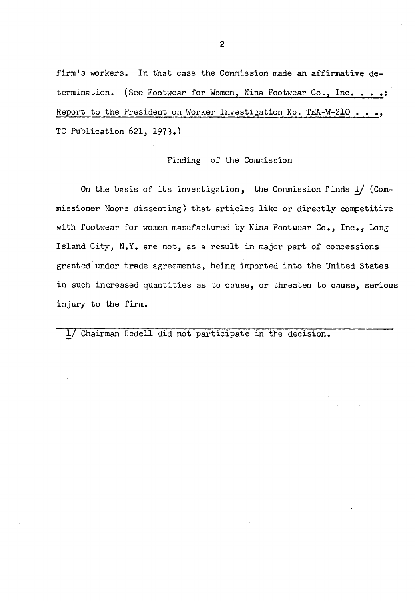firm's workers. In that case the Commission made an affirmative determination. (See Footwear for Women, Nina Footwear Co., Inc. . . .: Report to the President on Worker Investigation No. TEA-W-210  $\ldots$ , TC Publication 621, 1973.)

#### Finding of the Commission

On the basis of its investigation, the Connnission finds *Y* (Commissioner Moore dissenting) that articles like or directly competitive with footwear for women manufactured oy Nina Footwear Co., Inc., Long Island City, N.Y. are not, as *a* result in major part of concessions granted Under trade agreements, being imported into the United States in such increased quantities as to cause, or threaten to cause, serious injury to the firm.

!/ Chairman Bedell did not participate in the decision.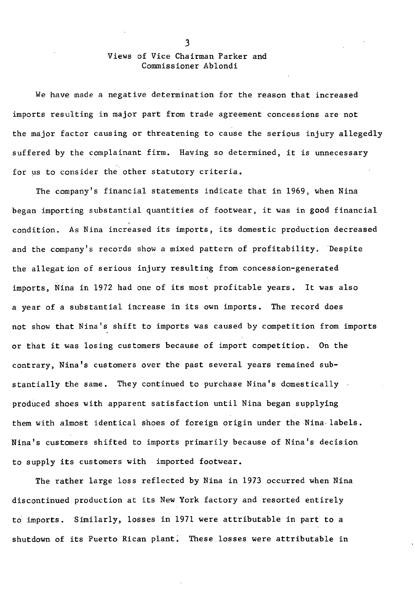## Views of Vice Chairman Parker and Commissioner Ablondi

We have made a negative determination for the reason that increased imports resulting in major part from trade agreement concessions are not the major factor causing or threatening to cause the serious injury allegedly suffered by the complainant firm. Having so determined, it is unnecessary for us to consider the other statutory criteria.

The company's financial statements indicate that in 1969, when Nina began importing substantial quantities of footwear, it was in good financial condition. As Nina increased its imports, its domestic production decreased and the company's records show a mixed pattern of profitability. Despite the allegation of serious injury resulting from concession-generated imports, Nina in 1972 had one of its most profitable years. It was also a year of a substantial increase in its own imports. The record does not show that Nina's shift to imports was caused by competition from imports or that it was losing customers because of import competition. On the contrary, Nina's customers over the past several years remained substantially the same. They continued to purchase Nina's domestically produced shoes with apparent satisfaction until Nina began supplying them with almost identical shoes of foreign origin under the Nina· labels. Nina's customers shifted *to* imports primarily because of Nina's decision to supply its customers with imported footwear.

The rather large loss reflected by Nina in 1973 occurred when Nina discontinued production at its New York factory and resorted entirely to imports. Similarly, losses in 1971 were attributable in part to a shutdown of its Puerto Rican plant: These.losses were attributable in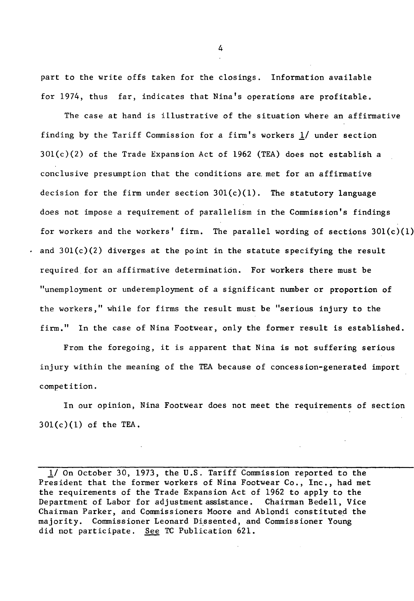part to the write offs taken for the closings. Information available for 1974, thus far, indicates that Nina's operations are profitable.

The case at hand is illustrative of the situation where an affirmative finding by the Tariff Commission for a firm's workers 1/ under section  $301(c)(2)$  of the Trade Expansion Act of 1962 (TEA) does not establish a conclusive presumption that the conditions are, met for an affirmative decision for the firm under section  $301(c)(1)$ . The statutory language does not impose a requirement of parallelism in the Commission's findings for workers and the workers' firm. The parallel wording of sections  $301(c)(1)$ and  $301(c)(2)$  diverges at the point in the statute specifying the result required for an affirmative determination. For workers there must be "unemployment or underemployment of a significant number or proportion of the workers," while for firms the result must be "serious injury to the firm." In the case of Nina Footwear, only the former result is established.

From the foregoing, it is apparent that Nina is not suffering serious injury within the meaning of the TEA because of concession-generated import competition.

In our opinion, Nina Footwear does not meet the requirements of section  $301(c)(1)$  of the TEA.

<sup>1/</sup> On October 30, 1973, the U.S. Tariff Commission reported to the President that the former workers of Nina Footwear Co., Inc., had met the requirements of the Trade Expansion Act of 1962 to apply to the Department of Labor for adjustment assistance. Chairman Bedell, Vice Chairman Parker, and Commissioners Moore and Ablondi constituted the majority. Commissioner Leonard Dissented, and Commissioner Young did not participate. See TC Publication 621.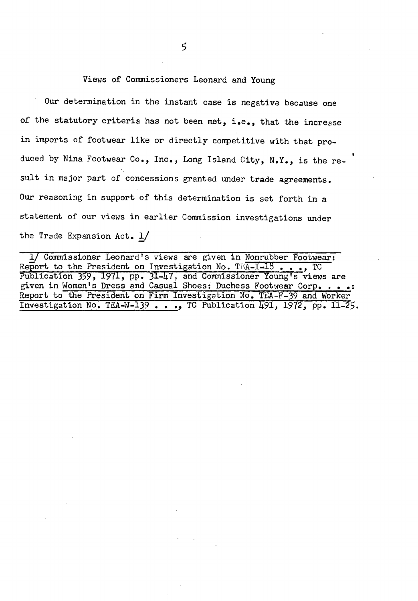Views of Commissioners Leonard and Young

Our determination in the instant case is negative because one of the statutory criteria has not been met, i.e., that the increase in imports of footwear like or directly competitive with that produced by Nina Footwear Co., Inc., Long Island City, N.Y., is the result in major part of concessions granted under trade agreements. Our reasoning in support of this determination is set forth in a statement of our views in earlier Commission investigations under the Trade Expansion Act. 1/

l/ Commissioner Leonard's views are given in Nonrubber Footwear: Report to the President on Investigation No. TEA-I-18..., TO Publication 359, 1971, pp. 31-47, and Commissioner Young's views are given in Women's Dress and Casual Shoes: Duchess Footwear Corp. . . .: Report to the President on Firm Investigation No. TEA-F-39 and Worker Investigation No. TEA-W-139 . . ., TC Publication 491, 1972, pp. 11-25.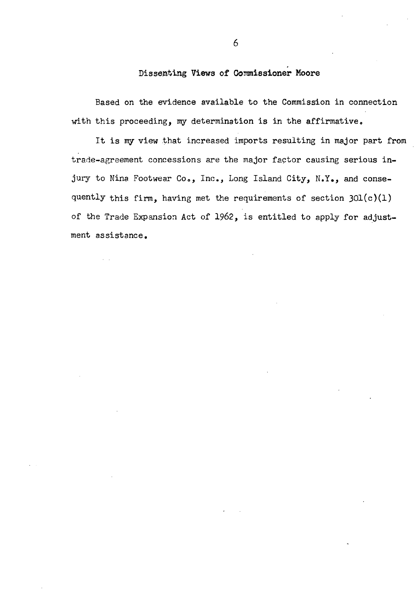## Dissenting Views of Commissioner Moore

Based on the evidence available to the Commission in connection with this proceeding, my determination is in the affirmative.

It is my view that increased imports resulting in major part from trade-agreement concessions are the major factor causing serious injury to Nina Footwear Co., Inc., Long Island City, N.Y., and consequently this firm, having met the requirements of section  $30l(c)(1)$ of the Trade Expansion Act of 1962, is entitled to apply for adjustment assistance.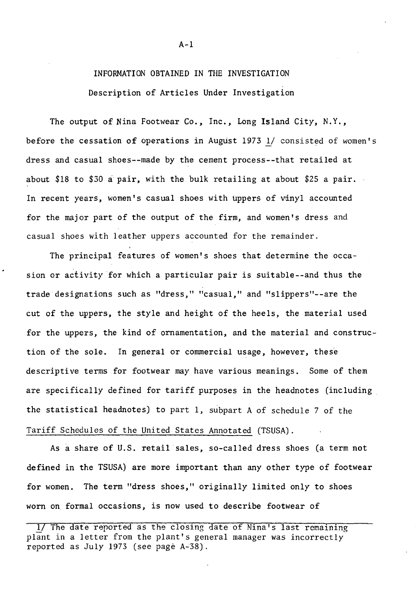# INFORMATION OBTAINED IN THE INVESTIGATION Description of Articles Under Investigation

The output of Nina Footwear Co., Inc., Long Island City, N.Y., before the cessation of operations in August 1973  $1/$  consisted of women's dress and casual shoes--made by the cement process--that retailed at about \$18 to \$30 a pair, with the bulk retailing at about \$25 a pair. In recent years, women's casual shoes with uppers of vinyl accounted for the major part of the output of the firm, and women's dress and casual shoes with leather uppers accounted for the remainder.

The principal features of women's shoes that determine the occasion or activity for which a particular pair is suitable--and thus the trade.designations such as "dress," "casual," and "slippers"--are the cut of the uppers, the style and height of the heels, the material used for the uppers, the kind of ornamentation, and the material and construetion of the sole. In general or commercial usage, however, these descriptive terms for footwear may have various meanings. Some of them are specifically defined for tariff purposes in the headnotes (including the statistical headnotes) to part 1, subpart A of schedule 7 of the Tariff Schedules of the United States Annotated (TSUSA).

As a share of U.S. retail sales, so-called dress shoes (a term not defined in the TSUSA) are more important than any other type of footwear for women. The term "dress shoes," originally limited only to shoes worn on formal occasions, is now used to describe footwear of

 $A-1$ 

<sup>1/</sup> The date reported as the closing date of Nina's last remaining plant in a letter from the plant's general manager was incorrectly reported as July 1973 (see page A-38).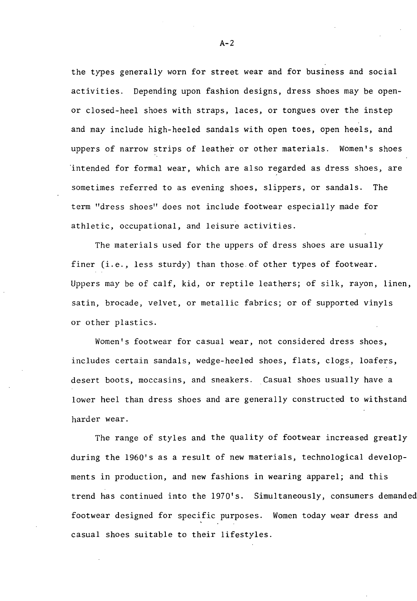the types generally worn for street wear and for business and social activities. Depending upon fashion designs, dress shoes may be openor closed-heel shoes with straps, laces, or tongues over the instep and may include high-heeled sandals with open toes, open heels, and uppers of narrow strips of leather or other materials. Women's shoes intended for formal wear, which are also regarded as dress shoes, are sometimes referred to as evening shoes, slippers, or sandals. The term "dress shoes" does not include footwear especially made for athletic, occupational, and leisure activities.

The materials used for the uppers of dress shoes are usually finer (i.e., less sturdy) than those of other types of footwear. Uppers may be of calf, kid, or reptile leathers; of silk, rayon, linen, satin, brocade, velvet, or metallic fabrics; or of supported vinyls or other plastics.

Women's footwear for casual wear, not considered dress shoes, includes certain sandals, wedge-heeled shoes, flats, clogs, loafers, desert boots, moccasins, and sneakers. Casual shoes usually have a lower heel than dress shoes and are generally constructed to withstand harder wear.

The range of styles and the quality of footwear increased greatly during the 1960's as a result of new materials, technological developments in production, and new fashions in wearing apparel; and this trend has continued into the 1970's. Simultaneously, consumers demanded footwear designed for specific purposes. Women today wear dress and casual shoes suitable to their lifestyles.

 $A-2$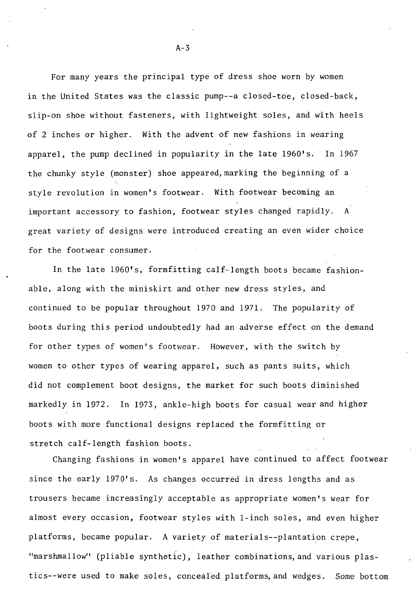For many years the principal type of dress shoe worn by women in the United States was the classic pump--a closed-toe, closed-back, slip-on shoe without fasteners, with lightweight soles, and with heels of 2 inches or higher. With the advent of new fashions in wearing apparel, the pump declined in popularity in the late 1960's. In 1967 the chunky style (monster) shoe appeared,marking the beginning of a style revolution in women's footwear. With footwear becoming an important accessory to fashion, footwear styles changed rapidly. A great variety of designs were introduced creating an even wider choice for the footwear consumer.

In the late 1960's, formfitting calf-length boots became fashionable, along with the miniskirt and other new dress styles, and continued to be popular throughout 1970 and 1971. The popularity of boots during this period undoubtedly had an adverse effect on the demand for other types of women's footwear. However, with the switch by women to other types of wearing apparel, such as pants suits, which did not complement boot designs, the market for such boots diminished markedly in 1972. In 1973, ankle-high boots for casual wear and higher boots with more functional designs replaced the formfitting or stretch calf-length fashion boots.

Changing fashions in women's apparel have continued to affect footwear since the early 1970's. As changes occurred in dress lengths and as trousers became increasingly acceptable as appropriate women's wear for almost every occasion, footwear styles with I-inch soles, and even higher platforms, became popular. A variety of materials--plantation crepe, "marshmallow" (pliable synthetic), leather combinations, and various plastics--were used to make soles, concealed platforms, and wedges. Some bottom

 $A - 3$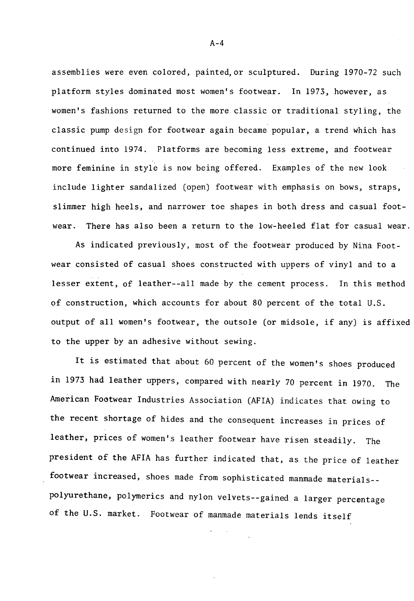assemblies were even colored, painted,or sculptured. During 1970-72 such platform styles dominated most women's footwear. In 1973, however, as women's fashions returned to the more classic or traditional styling, the classic pump design for footwear again became popular, a trend which has continued into 1974. Platforms are becoming less extreme, and footwear more feminine in style is now being offered. Examples of the new look include lighter sandalized (open) footwear with emphasis on bows, straps, slimmer high heels, and narrower toe shapes in both dress and casual footwear. There has also been a return to the low-heeled flat for casual wear.

As indicated previously, most of the footwear produced by Nina Footwear consisted of casual shoes constructed with uppers of vinyl and to a lesser extent, of leather--all made by the cement process. In this method of construction, which accounts for about 80 percent of the total U.S. output of all women's footwear, the outsole (or midsole, if any) is affixed to the upper by an adhesive without sewing.

It is estimated that about 60 percent of the women's shoes produced in 1973 had leather uppers, compared with nearly 70 percent in 1970. The American Footwear Industries Association (AFIA) indicates that owing to the recent shortage of hides and the consequent increases in prices of leather, prices of women's leather footwear have risen steadily. The president of the AFIA has further indicated that, as the price of leather footwear increased, shoes made from sophisticated manmade materials- polyurethane, polymerics and nylon velvets--gained a larger percentage of the U.S. market. Footwear of manmade materials lends itself

 $A-4$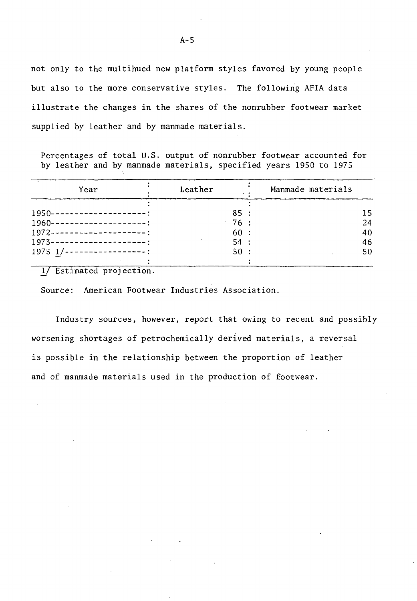not only to the multihued new platform styles favored by young people but also to the more conservative styles. The following AFIA data illustrate the changes in the shares of the nonrubber footwear market supplied by leather and by manmade materials.

Percentages of total U.S. output of nonrubber footwear accounted for by leather and by manmade materials, specified years 1950 to 1975

| Year                               | Leather | Manmade materials |
|------------------------------------|---------|-------------------|
|                                    |         |                   |
| 1950---------------------          | 85:     |                   |
| 1960--------------------           | 76:     | 24                |
| $1972 - - - - - - - - - - - - - -$ | 60:     | 40                |
| $1973$ -----------------           | 54:     | 46                |
| 1975 $1/-$ -----------------       | 50:     | 50                |
|                                    |         |                   |

1/ Estimated projection.

Source: American Footwear Industries Association.

Industry sources, however, report that owing to recent and possibly worsening shortages of petrochemically derived materials, a reversal is possible in the relationship between the proportion of leather and of manmade materials used in the production of footwear.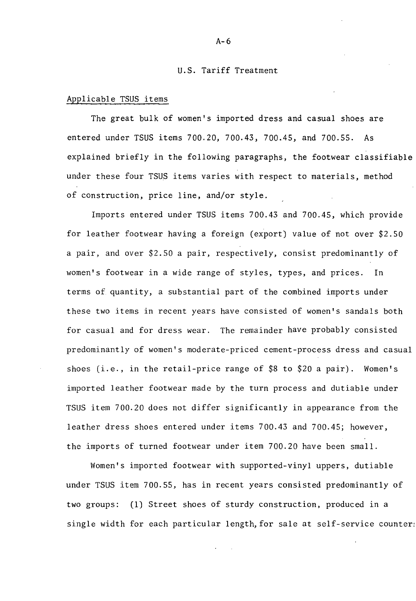## U.S. Tariff Treatment

## Applicable TSUS items

The great bulk of women's imported dress and casual shoes are entered under TSUS items 700.20, 700.43, 700.45, and 700.55. As explained briefly in the following paragraphs, the footwear classifiable under these four TSUS items varies with respect to materials, method of construction, price line, and/or style.

Imports entered under TSUS items 700.43 and 700.45, which provide for leather footwear having a foreign (export) value of not over \$2.50 a pair, and over \$2.50 a pair, respectively, consist predominantly of women's footwear in a wide range of styles, types, and prices. In terms of quantity, a substantial part of the combined imports under these two items in recent years have consisted of women's sandals both for casual and for dress wear. The remainder have probably consisted predominantly of women's moderate-priced cement-process dress and casual shoes (i.e., in the retail-price range of \$8 to \$20 a pair). Women's imported leather footwear made by the turn process and dutiable under TSUS item 700.20 does not differ significantly in appearance from the leather dress shoes entered under items 700.43 and 700.45; however, the imports of turned footwear under item 700. 20 have been small.

Women's imported footwear with supported-vinyl uppers, dutiable under TSUS item 700.55, has in recent years consisted predominantly of two groups: (1) Street shoes of sturdy construction, produced in a single width for each particular length, for sale at self-service counter!

A-6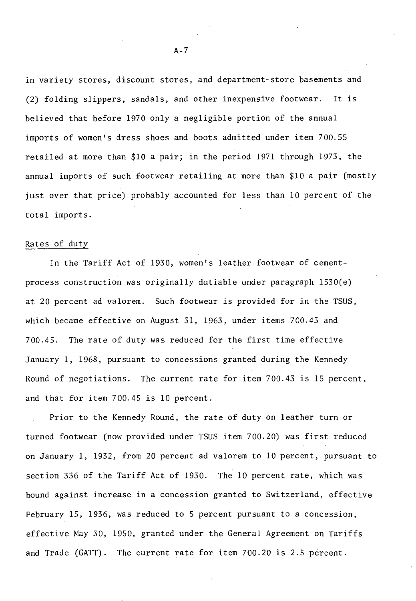in variety stores, discount stores, and department-store basements and (2) folding slippers, sandals, and other inexpensive footwear. It is believed that before 1970 only a negligible portion of the annual imports of women's dress shoes and boots admitted under item 700.55 retailed at more than \$10 a pair; in the period 1971 through 1973, the annual imports of such footwear retailing at more than \$10 a pair (mostly just over that price) probably accounted for less than 10 percent of the total imports.

#### Rates of duty

In the Tariff Act of 1930, women's leather footwear of cementprocess construction was originally dutiable under paragraph 1530(e) at 20 percent ad valorem. Such footwear is provided for in the TSUS, which became effective on August 31, 1963, under items 700.43 and 700.45. The rate of duty was reduced for the first time effective January 1, 1968, pursuant to concessions granted during the Kennedy Round of negotiations. The current rate for item 700.43 is 15 percent, and that for item 700.45 is 10 percent.

Prior to the Kennedy Round, the rate of duty on leather turn or turned footwear (now provided under TSUS item 700.20) was first reduced on January 1, 1932, from 20 percent ad valorem to 10 percent, pursuant to section 336 of the Tariff Act of 1930. The 10 percent rate, which was bound against increase in a concession granted to Switzerland, effective February 15, 1936, was reduced to 5 percent pursuant to a concession, effective May 30, 1950, granted under the General Agreement on Tariffs and Trade (GATT). The current rate for item 700.20 is 2.5 percent.

 $A - 7$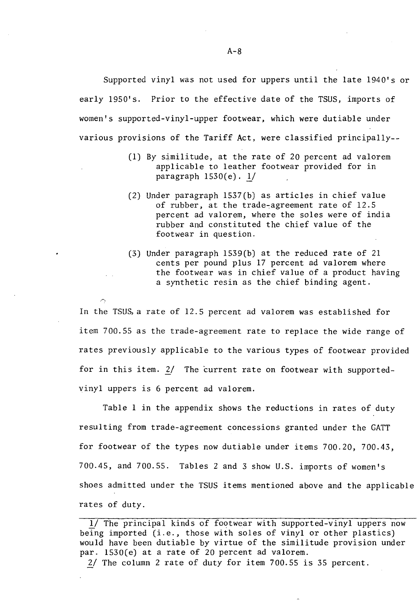Supported vinyl was not used for uppers until the late 1940's or early 1950's. Prior to the effective date of the TSUS, imports of women's supported-vinyl-upper footwear, which were dutiable under various provisions of the Tariff Act, were classified principally--

- (1) By similitude, at the rate of 20 percent ad valorem applicable to leather footwear provided for in paragraph  $1530(e)$ .  $1/$
- (2) Under paragraph 1537(b) as articles in chief value of rubber, at the trade~agreement rate of 12.5 percent ad valorem, where the soles were of india rubber and constituted the chief value of the footwear in question.
- (3) Under paragraph 1539(b) at the reduced rate of 21 cents per pound plus 17 percent ad valorem where the footwear was in chief value of a product having a synthetic resin as the chief binding agent.

In the TSUS, a rate of 12.5 percent ad valorem was established for item 700.55 as the trade-agreement rate to replace the wide range of rates previously applicable to the various types of footwear provided for in this item. 2/ The current rate on footwear with supportedvinyl uppers is 6 percent ad valorem.

Table 1 in the appendix shows the reductions in rates of duty resulting from trade-agreement concessions granted under the GATT for footwear of the types now dutiable under items 700.20, 700.43, 700.45, and 700.55. Tables 2 and 3 show U.S. imports of women's shoes admitted under the TSUS items mentioned above and the applicable rates of duty.

1/ The principal kinds of footwear with supported-vinyl uppers now being imported (i.e., those with soles of vinyl or other plastics) would have been dutiable by virtue of the similitude provision under par. 1530(e) at a rate of 20 percent ad valorem.

2/ The column 2 rate of duty for item 700.55 is 35 percent.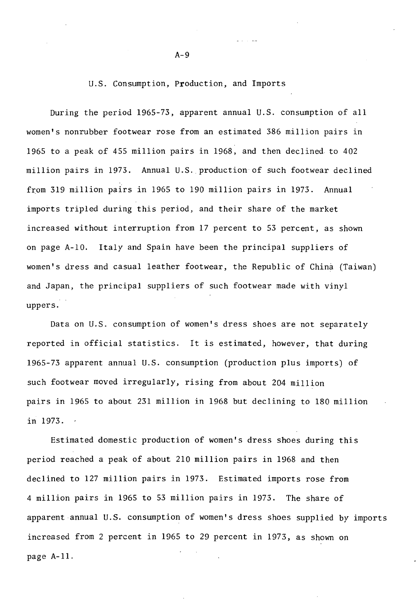#### U.S. Consumption, Production, and Imports

During the period 1965-73, apparent annual U.S. consumption of all women's nonrubber footwear rose from an estimated 386 million pairs in 1965 to a peak of 455 million pairs in 1968, and then declined to 402 million pairs in 1973. Annual U.S. production of such footwear declined from 319 million pairs in 1965 to 190 million pairs in 1973. Annual imports tripled during this period, and their share of the market increased without interruption from 17 percent to 53 percent, as shown on page A-10. Italy and Spain have been the principal suppliers of women's dress and casual leather footwear, the Republic of China (Taiwan) and Japan, the principal suppliers of such footwear made with vinyl uppers.

Data on U.S. consumption of women's dress shoes are not separately reported in official statistics. It is estimated, however, that during 1965-73 apparent annual U.S. consumption (production plus imports) of such footwear moved irregularly, rising from about 204 million pairs in 1965 to about 231 million in 1968 but declining to 180 million in 1973.

Estimated domestic production of women's dress shoes during this period reached a peak of about 210 million pairs in 1968 and then declined to 127 million pairs in 1973. Estimated imports rose from 4 million pairs in 1965 to 53 million pairs in 1973. The share of apparent annual U.S. consumption of women's dress shoes supplied by imports increased from 2 percent in 1965 to 29 percent in 1973, as shown on page A-11.

 $A-9$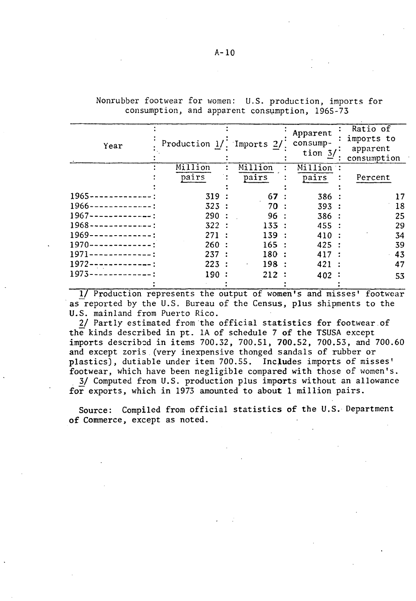| Year                              | Production 1/ Imports 2/ |                     | Apparent<br>consump-<br>tion $3/$ | Ratio of<br>imports to<br>apparent<br>consumption |
|-----------------------------------|--------------------------|---------------------|-----------------------------------|---------------------------------------------------|
|                                   | Million                  | Million<br>٠        | Million:                          |                                                   |
|                                   | pairs                    | pairs               | pairs                             | Percent                                           |
|                                   |                          |                     |                                   |                                                   |
| $1965 -$                          | 319:                     | 67                  | 386:                              | 17                                                |
| $1966 -$                          | 323:                     | 70 :                | 393:                              | 18                                                |
| $1967 - -$<br>----------          | 290:                     | 96:                 | 386:                              | 25                                                |
| $1968 -$<br>---------             | 322:                     | 135:                | 455:                              | 29                                                |
| $1969 - -$<br>$- - - - - - - - -$ | 271 :                    | 139<br>$\mathbf{r}$ | 410:                              | 34                                                |
| $1970 -$                          | 260:                     | 165                 | 425 :                             | 39                                                |
| 1971-                             | 237 :                    | 180:                | 417                               | 43                                                |
| 1972-                             | 223:                     | 198:                | 421 :                             | 47                                                |
| $1973 -$                          | 190:                     | 212:                | 402:                              | 53                                                |
|                                   |                          |                     |                                   |                                                   |

Nonrubber footwear for women: U.S. production, imports for consumption, and apparent consumption,  $1965 - 73$ 

1/ Production represents the output of women's and misses' footwear as reported by the U.S. Bureau of the Census, plus shipments to the U.S. mainland from Puerto Rico.

2/ Partly estimated from the official statistics for footwear of the kinds described in pt. IA of schedule 7 of the TSUSA except imports describ~d in items 700.32, 700.51, 700.52, 700.53, and 700.60 and except zoris (very inexpensive thonged sandals of rubber or plastics), dutiable under item 700.55. Includes imports of misses' footwear, which have been negligible compared with those of women's.

3/ Computed from U.S. production plus imports without an allowance for exports, which in 1973 amounted to about 1 million pairs.

Source: Compiled from official statistics of the U.S. Department of Commerce, except as noted.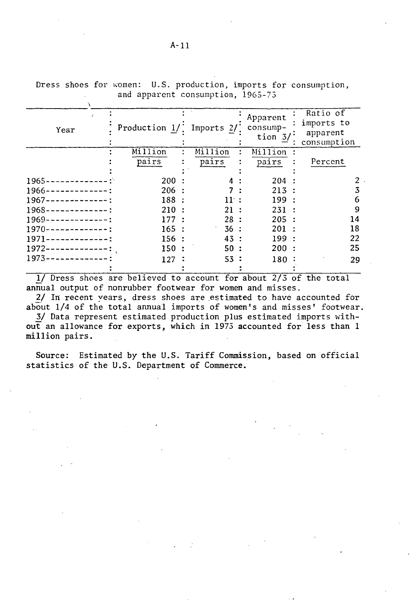| Year                                                   | Production $1/$  | Imports 2/       | Apparent<br>consump-<br>tion $3/$ | Ratio of<br>imports to<br>apparent<br>consumption |
|--------------------------------------------------------|------------------|------------------|-----------------------------------|---------------------------------------------------|
|                                                        | Million<br>pairs | Million<br>pairs | Million<br>pairs                  | Percent                                           |
| $1965--$                                               | 200:             | 4                | 204                               |                                                   |
| $1966$ -------------:<br>$1967$ -------------:         | 206:<br>$188$ :  | 111:             | 213:<br>199                       | 6                                                 |
| $1968$ -------------                                   | 210:             | 21               | 231                               | 9                                                 |
| $1969$ -------------<br>$1970 - - - - - - - - - - - -$ | 177<br>165:      | 28 :<br>36:      | 205:<br>201                       | 14<br>18                                          |
| 1971-                                                  | 156:             | 43:              | 199                               | 22                                                |
| $1972 - -$<br>adalah adalah adalah p                   | 150:             | 50:              | 200:                              | 25                                                |
| $1973 - - - - - - - - - - -$                           | 127              | 53:              | 180:                              | 29                                                |

Dress shoes for women: U.S. production, imports for consumption, and apparent consumption, 1965-73

1/ Dress shoes are believed to account for about 2/3 of the total annual output of nonrubber footwear for women and misses.

2/ In recent years, dress shoes are estimated to have accounted for about 1/4 of the total annual imports of women's and misses' footwear.

3/ Data represent estimated production plus estimated imports without an allowance for exports, which in 1973 accounted for less than 1 million pairs.

Source: Estimated by the U.S. Tariff Commission, based on official statistics of the U.S. Department of Commerce.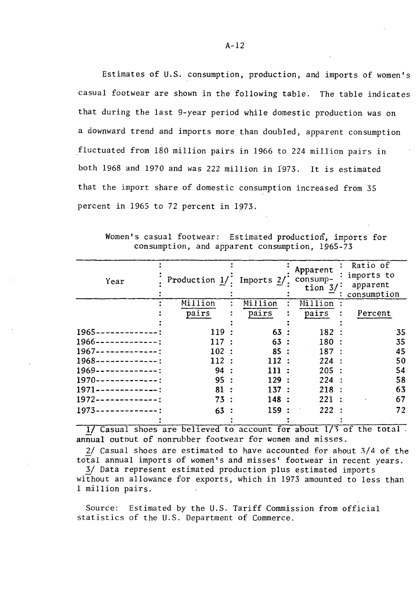Estimates of U.S. consumption, production, and imports of women's casual footwear are shown in the following table. The table indicates that during the last 9-year period while domestic production was on a downward trend and imports more than doubled, apparent consumption fluctuated from 180 million pairs in 1966 to 224 million pairs in both 1968 and 1970 and was 222 million in 1973. It is estimated that the import share of domestic consumption increased from 35 percent in 1965 to 72 percent in 1973.

Women's casual footwear: Estimated production, imports for consumption, and apparent consumption, 1965-73

| Year     | Production 1/. | Imports 2/            | Apparent<br>consump-<br>tion $3/$ | Ratio of<br>imports to<br>apparent<br>consumption |
|----------|----------------|-----------------------|-----------------------------------|---------------------------------------------------|
|          | Million        | Million               | Million                           |                                                   |
|          | pairs          | pairs                 | pairs                             | Percent                                           |
|          |                |                       |                                   |                                                   |
| 1965-    | 119            | 63:                   | 182:                              | 35                                                |
| $1966 -$ | 117 :          | 63:                   | 180                               | 35                                                |
| $1967 -$ | 102            | 85:<br>$\ddot{\cdot}$ | 187                               | 45                                                |
| 1968-    | 112            | 112:<br>$\cdot$       | 224                               | 50                                                |
| 1969-    | 94             | 111<br>$\ddot{ }$     | 205                               | 54                                                |
| $1970 -$ | 95             | 129:<br>٠             | 224                               | 58                                                |
| 1971-    | 81             | 137                   | 218:                              | 63                                                |
| 1972-    | 73 :           | 148 :                 | 221                               | 67                                                |
| 1973-    | 63             | 159:                  | 222                               | 72                                                |
|          |                |                       |                                   |                                                   |

 $1/$  Casual shoes are believed to account for about  $1/3$  of the total  $$ annual outnut of nonrubber footwear for women and misses.

2/ Casual shoes are estimated to have accounted for about  $3/4$  of the total annual imports of women's and misses' footwear in recent years.

3/ Data represent estimated production plus estimated imports without an allowance for exports, which in 1973 amounted to less than 1 million pairs.

Source: Estimated by the U.S. Tariff Commission from official statistics of the U.S. Department of Commerce.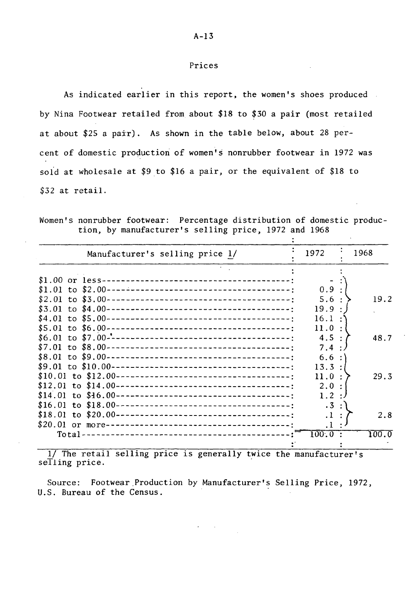## Prices

As indicated earlier in this report, the women's shoes produced. by Nina Footwear retailed from about \$18 to \$30 a pair (most retailed at about \$25 a pair). As shown in the table below, about 28 percent of domestic production of women's nonrubber footwear in 1972 was sold at wholesale at \$9 to \$16 a pair, or the equivalent of \$18 to \$32 at retail.

Women's nonrubber footwear: Percentage distribution of domestic production, by manufacturer's selling price, 1972 and 1968

| Manufacturer's selling price 1/ | 1972              | 1968  |
|---------------------------------|-------------------|-------|
|                                 |                   |       |
|                                 |                   |       |
|                                 | 0.9               |       |
|                                 | 5.6:              | 19.2  |
|                                 | 19.9:             |       |
|                                 | 16.1              |       |
|                                 | 11.0 :            |       |
|                                 | 4.5 :             | 48.7  |
|                                 | 7.4               |       |
|                                 | 6.6               |       |
|                                 | 13.3 :            |       |
|                                 |                   |       |
|                                 | 11.0:             | 29.3  |
|                                 | 2.0               |       |
|                                 | 1.2               |       |
|                                 | $.3$ :            |       |
|                                 | $\cdot$ 1 $\cdot$ | 2.8   |
|                                 |                   |       |
|                                 | 100.0             | 100.0 |
|                                 |                   |       |

1/ The retail selling price is generally twice the manufacturer's  $seTling$  price.

Source: Footwear.Production by Manufacturer's Selling Price, 1972, U.S. Bureau of the Census.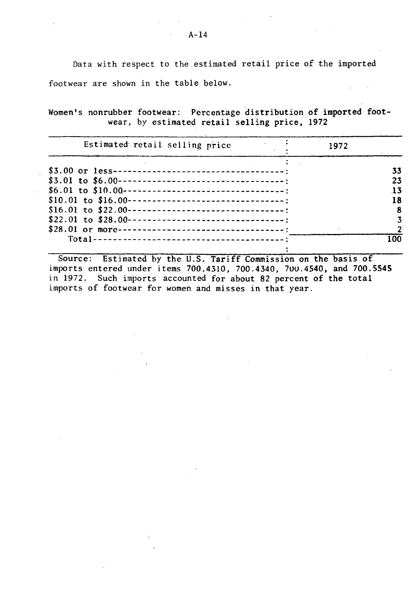Data with respect to the estimated retail price of the imported footwear are shown in the table below.

Women's nonrubber footwear: Percentage distribution of imported footwear, by estimated retail selling price, 1972

| Estimated retail selling price                        | 1972 |
|-------------------------------------------------------|------|
|                                                       | 33   |
|                                                       | 23   |
|                                                       | 13   |
| \$10.01 to \$16.00----------------------------------; |      |
|                                                       |      |
| \$22.01 to \$28.00----------------------------------  |      |
|                                                       |      |
|                                                       | ា ភក |

Source: Estimated by the U.S. Tariff Commission on the basis of imports entered under items 700.4310, 700.4340, 7UU.4540, and 700.5545 in 1972. Such imports accounted for about 82 percent of the total imports of footwear for women and misses in that year.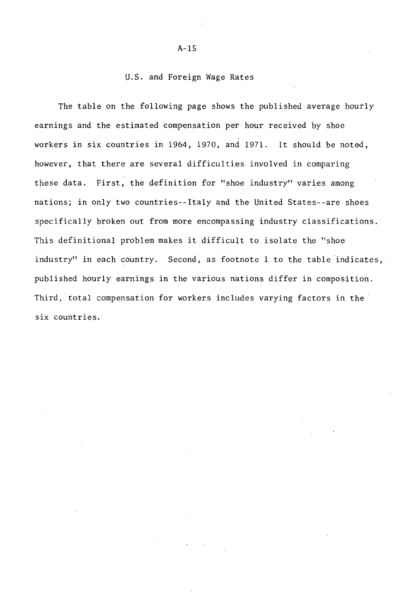#### U.S. and Foreign Wage Rates

The table on the following page shows the published average hourly earnings and the estimated compensation per hour received by shoe workers in six countries in 1964, 1970, and 1971. It should be noted, however, that there are several difficulties involved in comparing these data. First, the definition for "shoe industry" varies among nations; in only two countries--Italy and the United States--are shoes specifically broken out from more encompassing industry classifications. This definitional problem makes it difficult to isolate the "shoe industry" in each country. Second, as footnote 1 to the table indicates, published hourly earnings in the various nations differ in composition. Third, total compensation for workers includes varying factors in the six countries.

#### A-15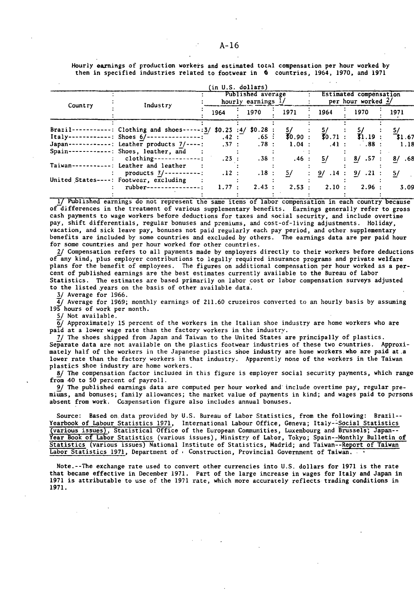Hourly earnings of production workers and estimated total compensation per hour worked by them in specified industries related to footwear in 6 countries, 1964, 1970, and 1971

| Country  | Industry                                                             |       | Published average<br>hourly earnings 1/ |         |         | Estimated compensation<br>per hour worked $2/$ |        |  |  |
|----------|----------------------------------------------------------------------|-------|-----------------------------------------|---------|---------|------------------------------------------------|--------|--|--|
|          |                                                                      | 1964  | 1970                                    | 1971    | 1964    | 1970                                           | 1971   |  |  |
|          | Brazil-----------: Clothing and shoes-----: $3/$ \$0.23 :4/ \$0.28 : |       |                                         | 5/      |         |                                                |        |  |  |
| Italy--- | ---------: Shoes 6/---------------: 42 :                             |       | .65:                                    | \$0.90: | \$0.71: | \$1.19:                                        | 31.67  |  |  |
|          | Japan------------: Leather products $7/---$ : .37 :                  |       | .78:                                    | 1.04:   | .41:    | .88:                                           | 1.18   |  |  |
| Spain--  | --------: Shoes, leather, and                                        |       |                                         |         |         |                                                |        |  |  |
|          | $clothing$ -------------;                                            | .23:  | .38:                                    | .46:    | 5/      | 8/ .57 :                                       | 8/0.68 |  |  |
|          | Taiwan-----------: Leather and leather                               |       |                                         |         |         |                                                |        |  |  |
|          | products $7/-------$ :                                               | .12:  | .18:                                    | 5/      | 9/14:   | 9/ .21 :                                       | 5/     |  |  |
|          | United States----: Footwear, excluding                               |       |                                         |         |         |                                                |        |  |  |
|          | rubber---------------                                                | 1.77: | 2.43:                                   | 2.53:   | 2.10:   | 2.96:                                          | 3.09   |  |  |
|          |                                                                      |       |                                         |         |         |                                                |        |  |  |

1/ Published earnings do not represent the same items of labor compensation in each country because of-differences in the treatment of various supplementary benefits. Earnings generally refer to gross cash payments to wage workers before deductions for taxes and social security, and include overtime pay, shift differentials, regular bonuses and premiums, and cost-of-living adjustments. Holiday, vacation, and sick leave pay, bonuses not paid regularly each pay period, and other supplementary benefits are included by some countries and excluded by others. The earnings data are per paid hour for some countries and per hour worked for other countries.

2/ Compensation refers to all payments made by employers directly to their workers before deductions of any kind, plus employer contributions to legally required insurance programs and private welfare plans for the benefit of employees. The figures on additional compensation per hour worked as a percent of published earnings are the best estimates currently available to the Bureau of Labor Statistics. The estimates are based primarily on labor cost or labor compensation surveys adjusted to the listed .years on the basis of other available data.

3/ Average for 1966.

 $4$ ) Average for 1969; monthly earnings of 211.60 cruzeiros converted to an hourly basis by assuming 19S hours of work per month.

5/ Not available.

6/ Approximately 15 percent of the workers in the Italian shoe industry are home workers who are paid at a lower wage rate than the factory workers in the industry.

7/ The shoes shipped from Japan and Taiwan to the United States are principally of plastics. Separate data are not available on the plastics footwear industries of these two countries. Approximately half of the workers in the Japanese plastics shoe industry are home workers who are paid at.a lower rate than the factory workers in that industry. Apparently none of the workers in the Taiwan plastics shoe industry are home workers.

8/ The compensation factor included in this figure is employer social security payments, which range from 40 to 50 percent of payroll.

9/ The published earnings data are computed per hour worked and· include overtime pay, regular premiums, and bonuses; family allowances; the market value of payments in kind; and wages paid to persons absent from work. Compensation figure also includes annual bonuses.

Source: Based on.data provided by U.S. Bureau of Labor Statistics, from the following: Brazil-- Yearbook of Labour Statistics 1971, International Labour Office, Geneva; Italy-Social Statistics (various issues), Statistical Office of the European Communities, Luxembourg and Brussels~ Japan-- Year Book of Labor Statistics (various issues), Ministry of Lator, Tokyo; Spain--Monthly Bulletin of Statistics (various issues) National Institute of Statistics, Madrid; and Taiwan--Report of Taiwan Labor Statistics 1971, Department of Construction, Provincial Government of Taiwan.

Note.--The exchange rate used to convert other currencies into U.S. dollars for 1971 is the rate that became effective in December 1971. Part of the large increase in wages for Italy and Japan in 1971 is attributable to use of the 1971 rate, which more accurately reflects trading conditions in 1971.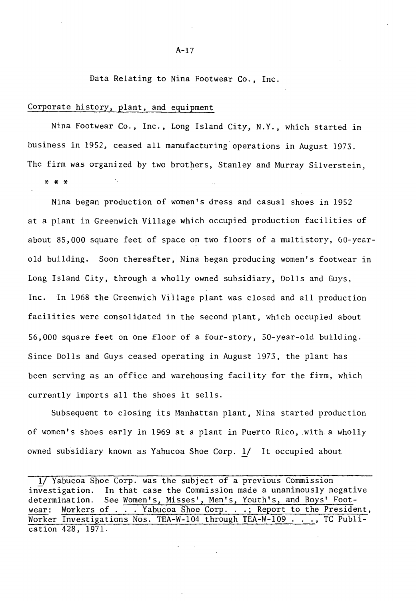Data Relating to Nina Footwear Co., Inc.

#### Corporate history, plant, and equipment

Nina Footwear Co., Inc., Long Island City, N.Y., which started in business in 1952, ceased all manufacturing operations in August 1973. The firm was organized by two brothers, Stanley and Murray Silverstein,

\* \* \*

Nina began production of women's dress and casual shoes in 1952 at a plant in Greenwich Village which occupied production facilities of about 85,000 square feet of space on two floors of a multistory, 60-yearold building. Soon thereafter, Nina began producing women's footwear in Long Island City, through a wholly owned subsidiary, Dolls and Guys, Inc. In 1968 the Greenwich Village plant was closed and all production facilities were consolidated in the second plant, which occupied about 56,000 square feet on one £loor of a four-story, SO-year-old building. Since Dolls and Guys ceased operating in August 1973, the plant has been serving as an office and warehousing facility for the firm, which currently imports all the shoes it sells.

Subsequent to closing its Manhattan plant, Nina started production of women's shoes early in 1969 at a plant in Puerto Rico, with a wholly owned subsidiary known as Yabucoa Shoe Corp. 1/ It occupied about

A-17

<sup>1/</sup> Yabucoa Shoe Corp. was the subject of a previous Commission investigation. In that case the Commission made a unanimously negative determination. See Women's, Misses', Men's, Youth's, and Boys' Footwear: Workers of . . . Yabucoa Shoe Corp. . .; Report to the President, worker Investigations Nos. TEA-W-104 through TEA-W-109 . . . , TC Publication 428, 1971.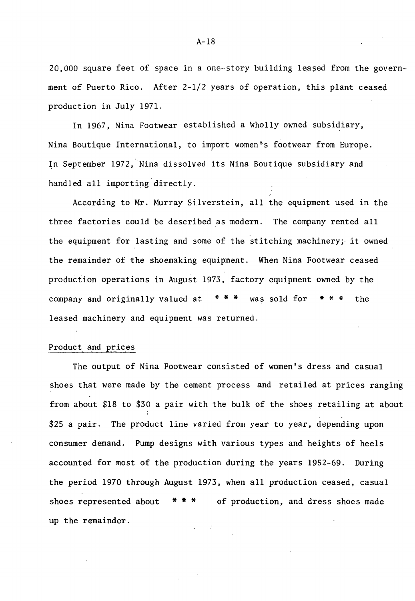$20,000$  square feet of space in a one-story building leased from the government of Puerto Rico. After 2-1/2 years of operation, this plant ceased production in July 1971.

In 1967, Nina Footwear established a wholly owned subsidiary, Nina Boutique International, to import women's footwear from Europe. In September 1972, Nina dissolved its Nina Boutique subsidiary and handled all importing directly.

According to Mr. Murray Silverstein, all the equipment used in the three factories could be described as modern. The company rented all the equipment for lasting and some of the stitching machinery; it owned the remainder of the shoemaking equipment. When Nina Footwear ceased production operations in August 1973, factory equipment owned by the company and originally valued at  $* * *$  was sold for  $* * *$  the leased machinery and equipment was returned.

#### Product and prices

The output of Nina Footwear consisted of women's dress and casual shoes that were made by the cement process and retailed at prices ranging from about \$18 to \$30 a pair with the bulk of the shoes retailing at about \$25 a pair. The product line varied from year to year, depending upon consumer demand. Pump designs with various types and heights of heels accounted for most of the production during the years 1952-69. During the period 1970 through August 1973, when all production ceased, casual shoes represented about up the remainder. \* \* \* of production, and dress shoes made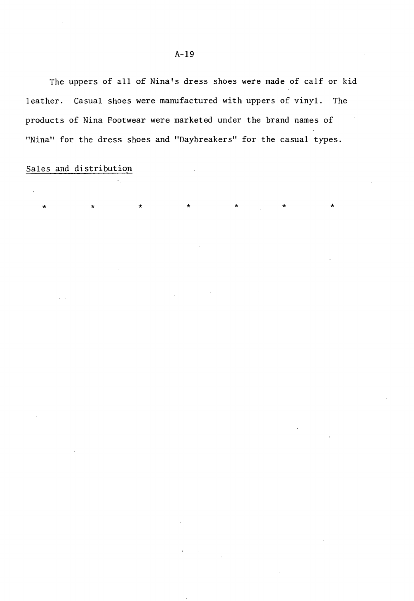The uppers of all of Nina's dress shoes were made of calf or kid leather. Casual shoes were manufactured with uppers of vinyl. The products of Nina Footwear were marketed under the brand names of "Nina" for the dress shoes and "Daybreakers" for the casual types.

\* \* \* \* \* \* \*

### Sales and distribution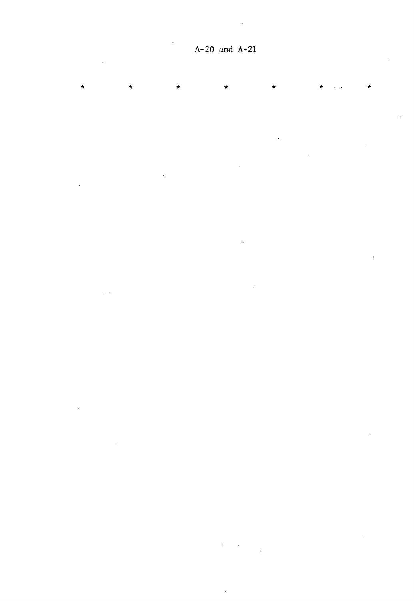$A-20$  and  $A-21$ 

÷

 $\bar{z}$ 

 $\ddot{\bullet}$ 

 $\star$ 

 $\star$ 

 $\star$ 

 $\hat{\mathcal{L}}$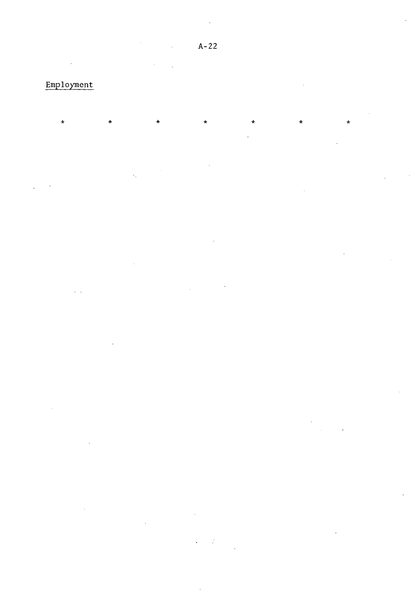$\star$ 

 $\star$ 

4

# Employment

 $\star$ 

 $\star$ 

÷

Ÿ.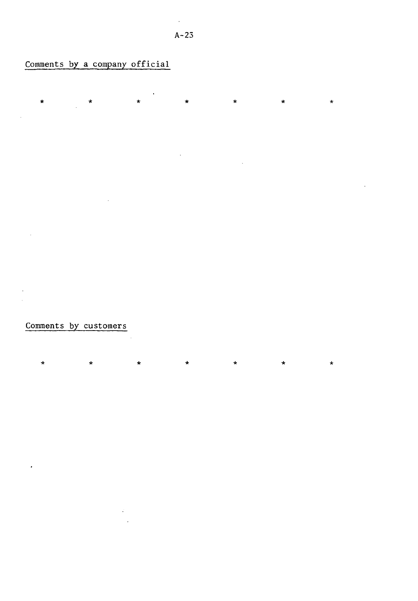Comments by a company official

 $\mathcal{A}$ 

 $\star$ 

 $\star$ 

 $\star$ 

 $\bar{\phantom{a}}$ 

 $\star$ 

Comments by customers

 $\bar{z}$ 

 $\sim$  $\overline{\phantom{a}}$ 

÷

 $\star$ 

 $\star$ 

 $\ddot{\textbf{r}}$ 

 $\star$ 

 $\star$ 

 $\ddot{\phantom{1}}$ 

 $\bar{\mathcal{A}}$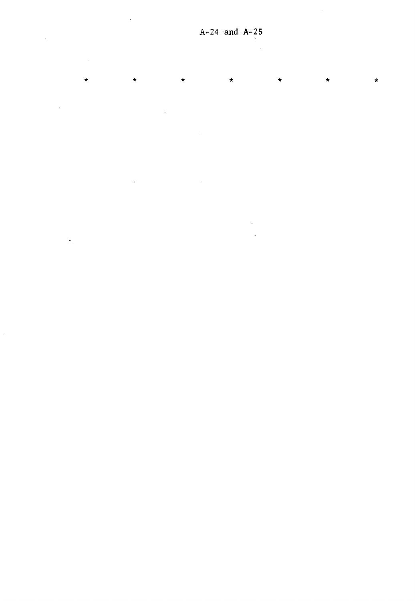$A-24$  and  $A-25$ 

 $\star$ 

 $\sim$ 

 $\star$ 

 $\star$ 

 $\star$ 

**Contract Contract State** 

 $\ddot{\phantom{a}}$ 

 $\mathbf{r}$ 

 $\sim$   $\sim$ 

 $\mathcal{A}$ 

 $\star$ 

 $\star$ 

 $\mathcal{L}^{\text{max}}_{\text{max}}$ 

 $\mathcal{L}^{\mathcal{L}}(\mathcal{L}^{\mathcal{L}})$  and  $\mathcal{L}^{\mathcal{L}}(\mathcal{L}^{\mathcal{L}})$  and  $\mathcal{L}^{\mathcal{L}}(\mathcal{L}^{\mathcal{L}})$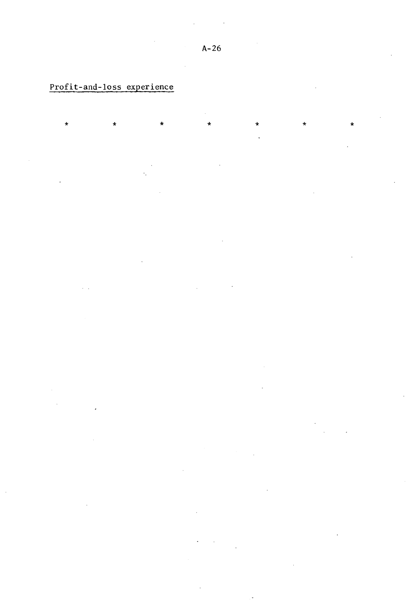$A - 26$ 

# Profit-and-loss experience

 $\hat{\mathbf{z}}$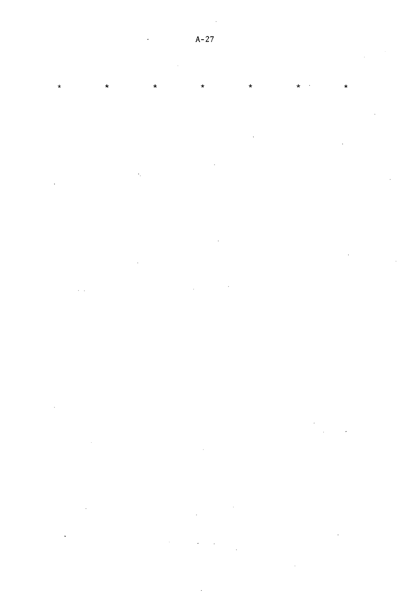$\star$  $\star$  $\star$  $\star$  $\star$ 

 $\frac{1}{2}$ 

 $\label{eq:2.1} \mathcal{L}_{\mathcal{A}}(\mathcal{L}_{\mathcal{A}}(\mathcal{L}_{\mathcal{A}})) = \mathcal{L}_{\mathcal{A}}(\mathcal{L}_{\mathcal{A}}(\mathcal{L}_{\mathcal{A}})) = \mathcal{L}_{\mathcal{A}}(\mathcal{L}_{\mathcal{A}}(\mathcal{L}_{\mathcal{A}})) = \mathcal{L}_{\mathcal{A}}(\mathcal{L}_{\mathcal{A}}(\mathcal{L}_{\mathcal{A}})) = \mathcal{L}_{\mathcal{A}}(\mathcal{L}_{\mathcal{A}}(\mathcal{L}_{\mathcal{A}})) = \mathcal{L}_{\mathcal{A}}(\mathcal{L}_{\mathcal$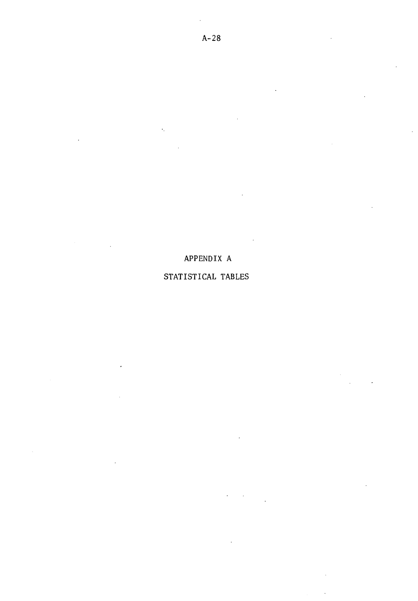# APPENDIX A

## STATISTICAL TABLES

 $\ddotsc$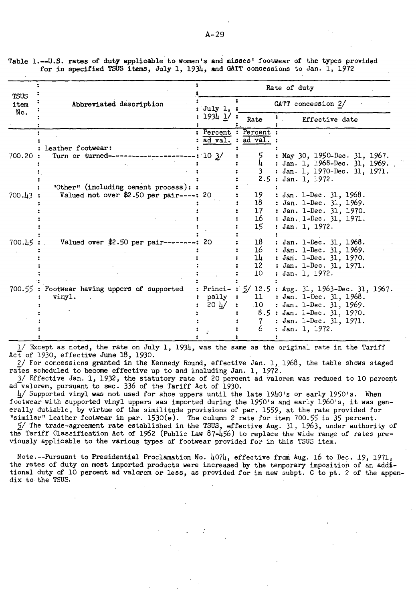ż Rate of duty  $\ddot{\mathbf{z}}$ TSUS  $\overline{\bullet}$  $\ddot{\phantom{a}}$  $\ddot{\cdot}$  $GATT$  concession  $2/$ item Abbreviated description  $\bullet$ July 1, No. <sup>1934</sup>*y*   $\ddot{\cdot}$ Rate : Effective date Percent Ŧ Percent  $\ddot{\cdot}$ ad val.  $\ddot{\bullet}$ ad val.  $\ddot{\cdot}$  $\cdot$ Leather footwear: 700. 20 Turn or turned----------------------:· 10 *JI*  5 May 30, 1950-Dec. 31, 1967.  $\ddot{\mathbf{z}}$ : Jan. 1, 1968-Dec. Jl, 1969.  $\ddot{\phantom{a}}$ 4 3 Jan. 1, 1970-Dec. 31, 1971.  $\bullet$ ÷ 2.5 Jan. 1, 1972. "Other" (including cement process): :  $\mathbf{r}$ 700.43 : Valued not over \$2.50 per pair----: 20 19 Jan. 1-Dec. 31, 1968.  $\ddot{\phantom{a}}$ 18 Jan. 1-Dec. 31, 1969.  $\ddot{\mathbf{r}}$  $\ddot{\phantom{a}}$ 17 Jan. 1-Dec. 31, 1970. 16 Jan. 1-Dec. 31, 1971.  $\overline{\mathbf{r}}$ 15 : Jan. 1, 1972. 700.45 : Valued over \$2.50 per pair--------: 20 18 Jan. 1-Dec. 31, 1968.  $\ddot{\phantom{a}}$ 16 Jan. 1-Dec. 31, 1969.  $\ddot{\phantom{a}}$ : Jan. 1-Dec. 31, 1970. 14  $\mathbf{r}$ ÷  $\bullet$ 12 Jan. 1-Dec. 31, 1971.  $\ddot{\phantom{a}}$ 10 Jan. 1, 1972.  $\mathbf{r}$  $\ddot{\cdot}$  $700.55$ : Footwear having uppers of supported : <u>5</u>/ 12.5 Aug. 31, 1963-Dec. 31, 1967. vinyl. . . . . . . . . . . . . . . . pally Jan. 1-Dec. 31, 1968. 11 20 <u>կ</u>/ . 10 Jan. 1-Dec. 31, 1969. 8.5 Jan. 1-Dec. 31, 1970. 7 Jan. 1-Dec. 31, 1971.  $\cdot$  $\ddot{\phantom{a}}$ 6 Jan. 1, 1972.  $\ddot{\phantom{a}}$ 

Table 1.--U.S. rates of duty applicable to women's and misses' footwear of the types provided for in specified TSUS items, July 1, 1934, and GATT concessions to Jan. 1, 1972

 $1/$  Except as noted, the rate on July 1, 1934, was the same as the original rate in the Tariff Act of 1930, effective June 18, 1930.

2/ For concessions granted in the Kennedy Round, effective Jan. 1, 1968, the table shows staged rates scheduled to become effective up to and including Jan. 1, 1972.

 $3/$  Effective Jan. 1, 1932, the statutory rate of 20 percent ad valorem was reduced to 10 percent ad valorem, pursuant to sec. 336 of the Tariff Act of 1930.

 $\mu$ / Supported vinyl was not used for shoe uppers until the late 19 $\mu$ 0's or early 1950's. When footwear with supported vinyl uppers was imported during the 1950's and early 1960's, it was generally dutiable, by virtue of the similitude provisions of par. 1559, at the rate provided for "similar" leather footwear in par. 1530(e). The column 2 rate for item 700.55 is 35 percent.

*2./* The trade-agreement rate established in the TSUS, effective Aug. 31, 1963, under authority of the Tariff Classification Act of 1962 (Public Law 87-456) to replace the wide range of rates previously applicable to the various types of footwear provided for in this TSUS item.

Note.--Pursuant to Presidential Proclamation No.  $\mu$ 07 $\mu$ , effective from Aug. 16 to Dec. 19, 1971, the rates of duty on most imported products were increased by the temporary imposition of an additional duty of 10 percent ad valorem or less, as provided for in new subpt. C to pt. 2 of the appen-<br>dix to the TSUS.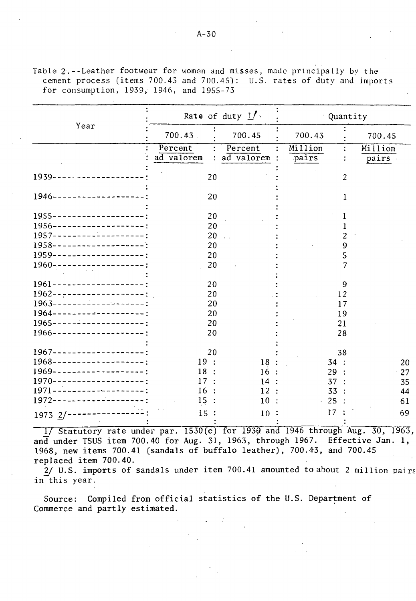Table 2.--Leather footwear for women and misses, made principally by the cement process (items 700.43 and 700.45): U.S. rates of duty and imports for consumption, 1939; 1946, and 1955-73

|                                        | Rate of duty $1/$ . | Quantity        |         |              |         |
|----------------------------------------|---------------------|-----------------|---------|--------------|---------|
| Year                                   | 700.43              | 700.45          | 700.43  |              | 700.45  |
|                                        | Percent             | Percent         | Million |              | Million |
|                                        | ad valorem          | : ad valorem    | pairs   |              | pairs.  |
| $1939------------$                     | 20                  |                 |         | 2            |         |
| 1946-------------------                | 20                  |                 |         | L            |         |
| 1955--------------------               | 20                  |                 |         |              |         |
| 1956--------------------               | 20                  |                 |         |              |         |
|                                        | 20                  | $\mathbf{r}$    |         |              |         |
| 1958--------------------               | 20                  |                 |         | q            |         |
| 1959--------------------               | 20                  |                 |         |              |         |
| 1960--------------------               | 20                  |                 |         |              |         |
| 1961--------------------:              | 20                  |                 |         | 9            |         |
| 1962--------------------:              | 20                  |                 |         | 12           |         |
| $1963$ -------------------:            | 20                  |                 |         | 17           |         |
| 1964--------------------               | 20                  |                 |         | 19           |         |
| $1965 - - - - - - - - - - - - - -$     | 20                  |                 |         | 21           |         |
| 1966--------------------;              | 20                  |                 |         | 28           |         |
| $1967 - - - - - - - - - - - - - - - -$ | 20                  |                 |         | 38           |         |
| 1968---------------------              | 19:                 | 18              |         | 34:          | 20      |
| 1969--------------------               | 18:                 | 16              |         | 29:          | 27      |
| $1970 - - - - - - - - - - - - - -$     | 17:                 | 14:             |         | 37:          | 35      |
| $1971 - - - - - - - - - - - - - - - -$ | 16:                 | 12:             |         | 33:          | 44      |
| 1972------------------                 | 15:                 | 10:             |         | $\cdot$ 25 : | 61      |
| 1973 2/                                | 15                  | 10 <sub>1</sub> |         | 17           | 69      |
|                                        |                     |                 |         |              |         |

 $1/$  Statutory rate under par.  $1530(e)$  for 1939 and 1946 through Aug. 30, 1963, and under TSUS item 700.40 for Aug. 31, 1963, through 1967. Effective Jan. 1, 1968, new items 700.41 (sandals of buffalo leather), 700.43, and 700.45 replaced item 700.40.

*3J* U.S. imports of sandals under item 700.41 amounted to about 2 million pair: in this year.

Source: Compiled from official statistics of the U.S. Department of Commerce and partly estimated.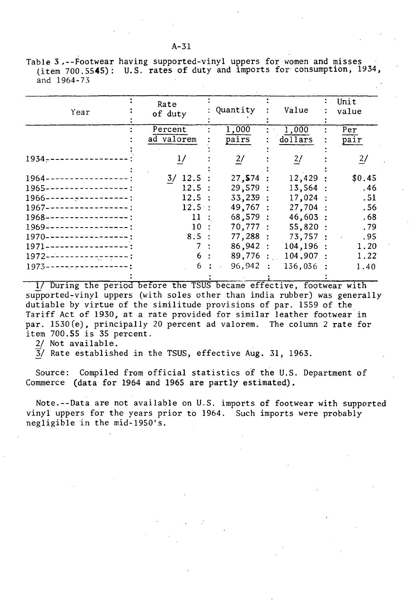Table 3 ,--Footwear having supported-vinyl uppers for women and misses (item 700.5545): U.S. rates of duty and imports for· consumption, 1934, and 1964-73

| Year                               | Rate<br>of duty       | Quantity       |         | Value            | Unit<br>value   |
|------------------------------------|-----------------------|----------------|---------|------------------|-----------------|
|                                    | Percent<br>ad valorem | 1,000<br>pairs |         | 1,000<br>dollars | Per<br>pair     |
|                                    |                       |                |         |                  |                 |
| $1934 -$                           | 1/                    | 2/             |         | $\frac{2}{\pi}$  | $\frac{2}{\pi}$ |
| $1964$ -----------------;          | $3/12.5$ :            | 27,574:        |         | 12,429:          | \$0.45          |
| $1965$ -----------------:          | $12.5$ :              | 29,579:        |         | $13,564$ :       | .46             |
| $1966$ -----------------:          | $12.5$ :              | 33,239:        |         | $17,024$ :       | . 51            |
| $1967--$<br>---------------        | 12.5:                 | 49,767 :       |         | 27,704 :         | .56             |
| $1968$ ---------------             | 11:                   | 68,579 :       |         | 46,603:          | .68             |
| $1969$ ---------------             | 10:                   | 70,777:        |         | 55,820:          | .79             |
| $1970 - - - - - - - - - - - - -$   | $8:5$ :               | 77,288:        |         | 73,757 :         | .95             |
| $1971--$                           | 7 :                   | 86,942:        |         | 104, 196:        | 1.20            |
| $1972 - - - - - - - - - - - -$     | 6 :                   | $89,776$ :     |         | 104,907 :        | 1.22            |
| $1973 - - - - - - - - - - - - - -$ | 6.                    | 96,942         | $\cdot$ | 136,036 :        | 1.40            |
|                                    |                       |                |         |                  |                 |

1/ During the period before the TSUS became effective, footwear with supported-vinyl uppers (with soles other than india rubber) was generally dutiable by virtue of the similitude provisions of par. 1559 of the Tariff Act of 1930, at a rate provided for similar leather footwear in par. 1530(e), principally 20 percent ad valorem. The column 2 rate for item 700.55 is 35 percent.

2/ Not available.

}/ Rate established in the *TSUS,* effective Aug. 31, 1963.

Source: Compiled from official statistics of the U.S. Department of Commerce (data for 1964 and 1965 are partly estimated).

Note.--Data are not available on U.S. imports of footwear with supported vinyl uppers for the years prior to 1964. Such imports were probably negligible in the mid-1950's.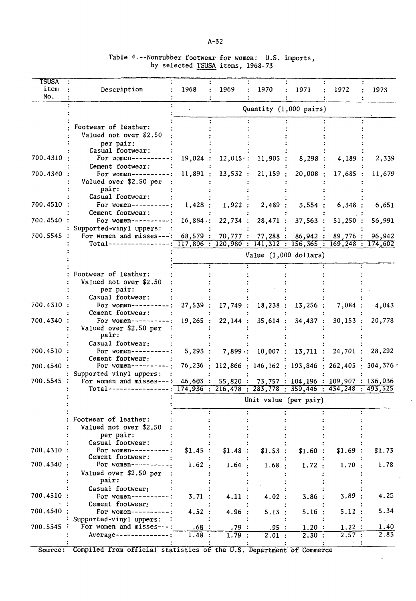| TSUSA<br>item | Description                                                          | 1968                                                   | 1969       | 1970     | 1971        | 1972                                                                                                   | 1973         |
|---------------|----------------------------------------------------------------------|--------------------------------------------------------|------------|----------|-------------|--------------------------------------------------------------------------------------------------------|--------------|
| No.           |                                                                      | Quantity (1,000 pairs)                                 |            |          |             |                                                                                                        |              |
|               |                                                                      |                                                        |            |          |             |                                                                                                        |              |
|               | Footwear of leather:<br>Valued not over \$2.50                       |                                                        |            |          |             |                                                                                                        |              |
|               | per pair:<br>Casual footwear:                                        |                                                        |            |          |             |                                                                                                        |              |
| 700.4310      | For $women---$                                                       | 19,024                                                 | 12,015:    | 11,905   | 8,298       | 4,189                                                                                                  | 2,339        |
| 700.4340      | Cement footwear:<br>For women---------:                              | 11,891                                                 | 13,532 :   | 21,159:  | $20,008$ :  | 17,685 :                                                                                               | 11,679       |
|               | Valued over \$2.50 per<br>pair:                                      |                                                        |            |          |             |                                                                                                        |              |
|               | Casual footwear:                                                     |                                                        |            |          |             |                                                                                                        |              |
| 700.4510      | For women---------                                                   | 1,428                                                  | 1,922      | 2,489:   | 3,554:      | 6,348                                                                                                  | 6,651        |
|               | Cement footwear:                                                     |                                                        |            |          |             |                                                                                                        |              |
| 700.4540      | For women----------:                                                 | 16,884                                                 | 22,734:    | 28,471:  | 37,563 :    | 51,250:                                                                                                | 56,991       |
| 700.5545      | Supported-vinyl uppers:                                              |                                                        |            |          |             |                                                                                                        |              |
|               | For women and misses ---:<br>Tota1-------                            | 68,579 :                                               | 70,777:    | 77,288:  | 86,942 :    | 89,776 :                                                                                               | 96,942       |
|               |                                                                      | $117,806: 120,980: 141,312: 156,365: 169,248: 174,602$ |            |          |             |                                                                                                        |              |
|               |                                                                      | Value (1,000 dollars)                                  |            |          |             |                                                                                                        |              |
|               | Footwear of leather:                                                 |                                                        |            |          |             |                                                                                                        |              |
|               | Valued not over \$2.50                                               |                                                        |            |          |             |                                                                                                        |              |
|               | per pair:                                                            |                                                        |            |          |             |                                                                                                        |              |
|               | Casual footwear:                                                     |                                                        |            |          |             |                                                                                                        |              |
| 700.4310      | For women----------                                                  | 27,539 :                                               | 17,749 :   | 18,238:  | 13,256 :    | 7,084                                                                                                  | 4,043        |
|               | Cement footwear:                                                     |                                                        |            |          |             |                                                                                                        |              |
| 700.4340      | For women----------                                                  | 19,265                                                 | $22,144$ : | 35,614 : | 34,437      | 30,153                                                                                                 | 20,778       |
|               | Valued over \$2.50 per<br>pair:                                      |                                                        |            |          |             |                                                                                                        |              |
|               | Casual footwear:                                                     |                                                        |            |          |             |                                                                                                        |              |
| 700.4510      | For $women$ ---------                                                | 5,293:                                                 | 7,899:     | 10,007:  | $13,711$ :  | 24,701:                                                                                                | 28,292       |
|               | Cement footwear:                                                     |                                                        |            |          |             |                                                                                                        |              |
| 700.4540      | For women----------                                                  |                                                        |            |          |             | 76,236: 112,866: 146,162: 193,846: 262,403: 304,376                                                    |              |
| 700.5545      | Supported vinyl uppers:<br>For women and misses---:                  |                                                        |            |          |             |                                                                                                        |              |
|               | Total--------------                                                  | $46,603$ :                                             | 55,820:    |          |             | $73,757$ : 104, 196 : 109, 907 : 136, 036<br>174,936 : 216,478 : 283,778 : 359,446 : 434,248 : 493,525 |              |
|               |                                                                      |                                                        |            |          |             |                                                                                                        |              |
|               |                                                                      | Unit value (per pair)                                  |            |          |             |                                                                                                        |              |
|               | Footwear of leather:                                                 |                                                        |            |          |             |                                                                                                        |              |
|               | Valued not over \$2.50                                               |                                                        |            |          |             |                                                                                                        |              |
|               | per pair:                                                            |                                                        |            |          |             |                                                                                                        |              |
| 700.4310      | Casual footwear:<br>For women----------<br>Cement footwear:          | \$1.45:                                                | \$1.48:    | \$1.53:  | \$1.60:     | \$1.69:                                                                                                | \$1.73       |
| 700.4340      | For women--------                                                    | 1.62                                                   | 1.64       | 1.68:    | 1.72:       | 1.70:                                                                                                  | 1.78         |
|               | Valued over \$2.50 per                                               |                                                        |            |          |             |                                                                                                        |              |
|               | pair:                                                                |                                                        |            |          |             |                                                                                                        |              |
|               | Casual footwear:                                                     |                                                        |            |          |             |                                                                                                        |              |
| 700.4510 :    | For women----------:                                                 | 3.71:                                                  | 4.11:      | 4.02:    | 3.86 :      | 3.89                                                                                                   | 4.25         |
|               | Cement footwear.                                                     |                                                        |            |          |             |                                                                                                        |              |
| 700.4540:     | For women----------:                                                 | 4.52:                                                  | 4.96:      | 5.13:    | $5.16$ :    | 5.12:                                                                                                  | 5.34         |
|               | Supported-vinyl uppers:                                              |                                                        |            |          |             |                                                                                                        |              |
| 700.5545      | For women and misses---:<br>$Average$ --------------;                | .68:<br>1.48 :                                         | . 79       | .95:     | <u>1.20</u> | 1.22:<br>2.57:                                                                                         | 1.40<br>2.83 |
|               |                                                                      |                                                        |            |          |             |                                                                                                        |              |
| Source:       | Compiled from official statistics of the U.S. Department of Commerce |                                                        |            |          |             |                                                                                                        |              |

 $\overline{\phantom{a}}$ 

 $\hat{\mathcal{L}}$ 

#### Table 4.--Nonrubber footwear for women: U.S. imports, by selected TSUSA items, 1968-73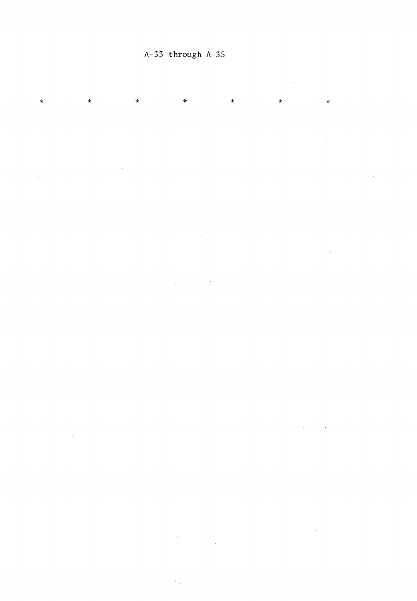# $A-33$  through  $A-35$

 $\sim$ 

 $\star$  $\star$  $\star$ ÷  $\star$  $\star$  $\ddot{\phantom{a}}$ J.  $\bar{z}$  $\sim 10$  $\cdot$ 

 $\ddot{\phantom{0}}$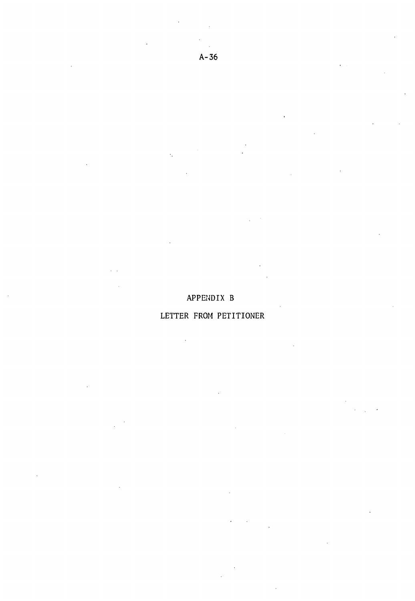## APPENDIX B

# LETTER FROM PETITIONER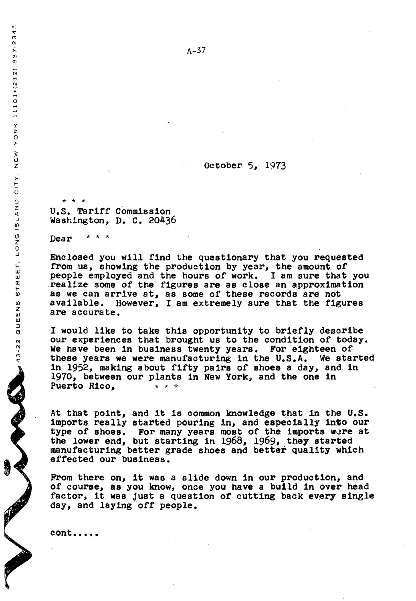### October 5, 1973

\* \* \* U.S. Tariff Commission Washington, D. c. 20436

Dear  $\overline{ }$ 

- N

 $101 \cdot (21$ 

3 w z

43-22 QUEENS

Enclosed you will find the questionary that you requested from us, showing the production by year, the amount of people employed and the hours of work. I am sure that you realize some of the figures are as close an approximation as we can arrive at, as some of these records are not However, I am extremely sure that the figures are accurate.

I would like to take this opportunity to briefly describe our experiences that brought us to the condition of today.<br>We have been in business twenty years. For eighteen of We have been in business twenty years. For eighteen of these years we were manufacturing in the U.S.A. We started these years we were manufacturing in the U.S.A. in 1952, making about fifty pairs of shoes a day, and in 1970, between our plants in New York, and the one in Puerto Rico. Puerto Rico,

At that point, and it is common knowledge that in the U.S. imports really started pouring in, and especially into our type of shoes. For many years most of the imports were at the lower end, but starting in 1968, 1969, they started manufacturing better grade shoes and better quality which effected our business.

From there on, it was a slide down in our production, and of course, as you know, once you have a build in over head factor, it was just a question of cutting back every single day, and laying off people.

cont....